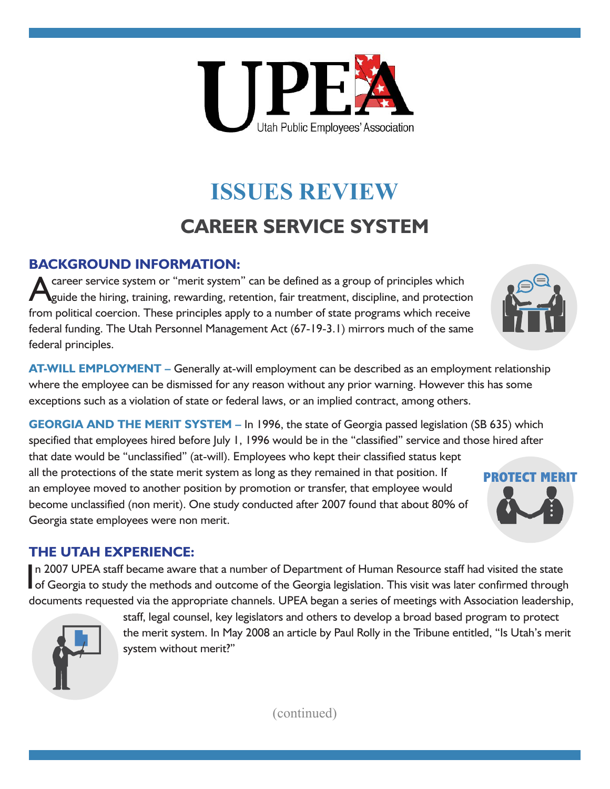

# **ISSUES REVIEW CAREER SERVICE SYSTEM**

#### **BACKGROUND INFORMATION:**

career service system or "merit system" can be defined as a group of principles which guide the hiring, training, rewarding, retention, fair treatment, discipline, and protection from political coercion. These principles apply to a number of state programs which receive federal funding. The Utah Personnel Management Act (67-19-3.1) mirrors much of the same federal principles.



**GEORGIA AND THE MERIT SYSTEM –** In 1996, the state of Georgia passed legislation (SB 635) which specified that employees hired before July 1, 1996 would be in the "classified" service and those hired after that date would be "unclassified" (at-will). Employees who kept their classified status kept all the protections of the state merit system as long as they remained in that position. If an employee moved to another position by promotion or transfer, that employee would become unclassified (non merit). One study conducted after 2007 found that about 80% of Georgia state employees were non merit.

#### **THE UTAH EXPERIENCE:**

In 2007 UPEA staff became aware that a number of Department of Human Resource staff had visited the state<br>In Georgia to study the methods and outcome of the Georgia legislation. This visit was later confirmed through n 2007 UPEA staff became aware that a number of Department of Human Resource staff had visited the state documents requested via the appropriate channels. UPEA began a series of meetings with Association leadership,



staff, legal counsel, key legislators and others to develop a broad based program to protect the merit system. In May 2008 an article by Paul Rolly in the Tribune entitled, "Is Utah's merit system without merit?"

(continued)